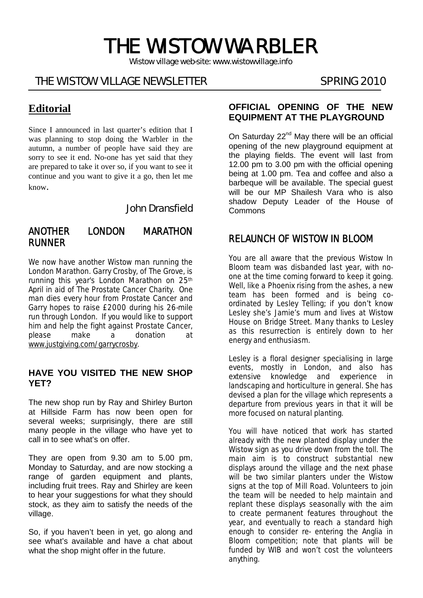# THE WISTOW WARBLER

*Wistow village web-site: www.wistowvillage.info* 

Ī

# THE WISTOW VILLAGE NEWSLETTER SPRING 2010

# **Editorial**

Since I announced in last quarter's edition that I was planning to stop doing the Warbler in the autumn, a number of people have said they are sorry to see it end. No-one has yet said that they are prepared to take it over so, if you want to see it continue and you want to give it a go, then let me know.

John Dransfield

#### ANOTHER LONDON MARATHON RUNNER

We now have another Wistow man running the London Marathon. Garry Crosby, of The Grove, is running this year's London Marathon on 25<sup>th</sup> April in aid of The Prostate Cancer Charity. One man dies every hour from Prostate Cancer and Garry hopes to raise £2000 during his 26-mile run through London. If you would like to support him and help the fight against Prostate Cancer, please make a donation at www.justgiving.com/garrycrosby.

#### **HAVE YOU VISITED THE NEW SHOP YET?**

The new shop run by Ray and Shirley Burton at Hillside Farm has now been open for several weeks; surprisingly, there are still many people in the village who have yet to call in to see what's on offer.

They are open from 9.30 am to 5.00 pm, Monday to Saturday, and are now stocking a range of garden equipment and plants, including fruit trees. Ray and Shirley are keen to hear your suggestions for what they should stock, as they aim to satisfy the needs of the village.

So, if you haven't been in yet, go along and see what's available and have a chat about what the shop might offer in the future.

#### **OFFICIAL OPENING OF THE NEW EQUIPMENT AT THE PLAYGROUND**

On Saturday 22<sup>nd</sup> May there will be an official opening of the new playground equipment at the playing fields. The event will last from 12.00 pm to 3.00 pm with the official opening being at 1.00 pm. Tea and coffee and also a barbeque will be available. The special guest will be our MP Shailesh Vara who is also shadow Deputy Leader of the House of Commons

# RELAUNCH OF WISTOW IN BLOOM

You are all aware that the previous Wistow In Bloom team was disbanded last year, with noone at the time coming forward to keep it going. Well, like a Phoenix rising from the ashes, a new team has been formed and is being coordinated by Lesley Telling; if you don't know Lesley she's Jamie's mum and lives at Wistow House on Bridge Street. Many thanks to Lesley as this resurrection is entirely down to her energy and enthusiasm.

Lesley is a floral designer specialising in large events, mostly in London, and also has extensive knowledge and experience in landscaping and horticulture in general. She has devised a plan for the village which represents a departure from previous years in that it will be more focused on natural planting.

You will have noticed that work has started already with the new planted display under the Wistow sign as you drive down from the toll. The main aim is to construct substantial new displays around the village and the next phase will be two similar planters under the Wistow signs at the top of Mill Road. Volunteers to join the team will be needed to help maintain and replant these displays seasonally with the aim to create permanent features throughout the year, and eventually to reach a standard high enough to consider re- entering the Anglia in Bloom competition; note that plants will be funded by WIB and won't cost the volunteers anything.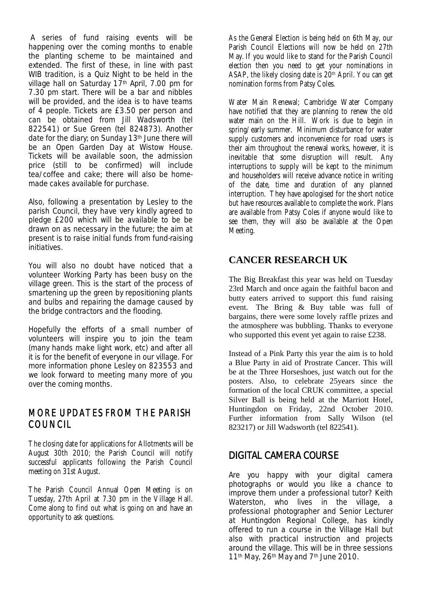A series of fund raising events will be happening over the coming months to enable the planting scheme to be maintained and extended. The first of these, in line with past WIB tradition, is a Quiz Night to be held in the village hall on Saturday 17<sup>th</sup> April, 7.00 pm for 7.30 pm start. There will be a bar and nibbles will be provided, and the idea is to have teams of 4 people. Tickets are £3.50 per person and can be obtained from Jill Wadsworth (tel 822541) or Sue Green (tel 824873). Another date for the diary; on Sunday 13<sup>th</sup> June there will be an Open Garden Day at Wistow House. Tickets will be available soon, the admission price (still to be confirmed) will include tea/coffee and cake; there will also be homemade cakes available for purchase.

Also, following a presentation by Lesley to the parish Council, they have very kindly agreed to pledge £200 which will be available to be be drawn on as necessary in the future; the aim at present is to raise initial funds from fund-raising initiatives.

You will also no doubt have noticed that a volunteer Working Party has been busy on the village green. This is the start of the process of smartening up the green by repositioning plants and bulbs and repairing the damage caused by the bridge contractors and the flooding.

Hopefully the efforts of a small number of volunteers will inspire you to join the team (many hands make light work, etc) and after all it is for the benefit of everyone in our village. For more information phone Lesley on 823553 and we look forward to meeting many more of you over the coming months.

#### MORE UPDATES FROM THE PARISH **COUNCIL**

The closing date for applications for Allotments will be August 30th 2010; the Parish Council will notify successful applicants following the Parish Council meeting on 31st August.

The Parish Council Annual Open Meeting is on Tuesday, 27th April at 7.30 pm in the Village Hall. Come along to find out what is going on and have an opportunity to ask questions.

As the General Election is being held on 6th May, our Parish Council Elections will now be held on 27th May. If you would like to stand for the Parish Council election then you need to get your nominations in ASAP, the likely closing date is  $20<sup>th</sup>$  April. You can get nomination forms from Patsy Coles.

Water Main Renewal; Cambridge Water Company have notified that they are planning to renew the old water main on the Hill. Work is due to begin in spring/early summer. Minimum disturbance for water supply customers and inconvenience for road users is their aim throughout the renewal works, however, it is inevitable that some disruption will result. Any interruptions to supply will be kept to the minimum and householders will receive advance notice in writing of the date, time and duration of any planned interruption. They have apologised for the short notice but have resources available to complete the work. Plans are available from Patsy Coles if anyone would like to see them, they will also be available at the Open Meeting.

## **CANCER RESEARCH UK**

The Big Breakfast this year was held on Tuesday 23rd March and once again the faithful bacon and butty eaters arrived to support this fund raising event. The Bring & Buy table was full of bargains, there were some lovely raffle prizes and the atmosphere was bubbling. Thanks to everyone who supported this event yet again to raise £238.

Instead of a Pink Party this year the aim is to hold a Blue Party in aid of Prostrate Cancer. This will be at the Three Horseshoes, just watch out for the posters. Also, to celebrate 25years since the formation of the local CRUK committee, a special Silver Ball is being held at the Marriott Hotel, Huntingdon on Friday, 22nd October 2010. Further information from Sally Wilson (tel 823217) or Jill Wadsworth (tel 822541).

# DIGITAL CAMERA COURSE

Are you happy with your digital camera photographs or would you like a chance to improve them under a professional tutor? Keith Waterston, who lives in the village, a professional photographer and Senior Lecturer at Huntingdon Regional College, has kindly offered to run a course in the Village Hall but also with practical instruction and projects around the village. This will be in three sessions 11th May, 26th May and 7th June 2010.